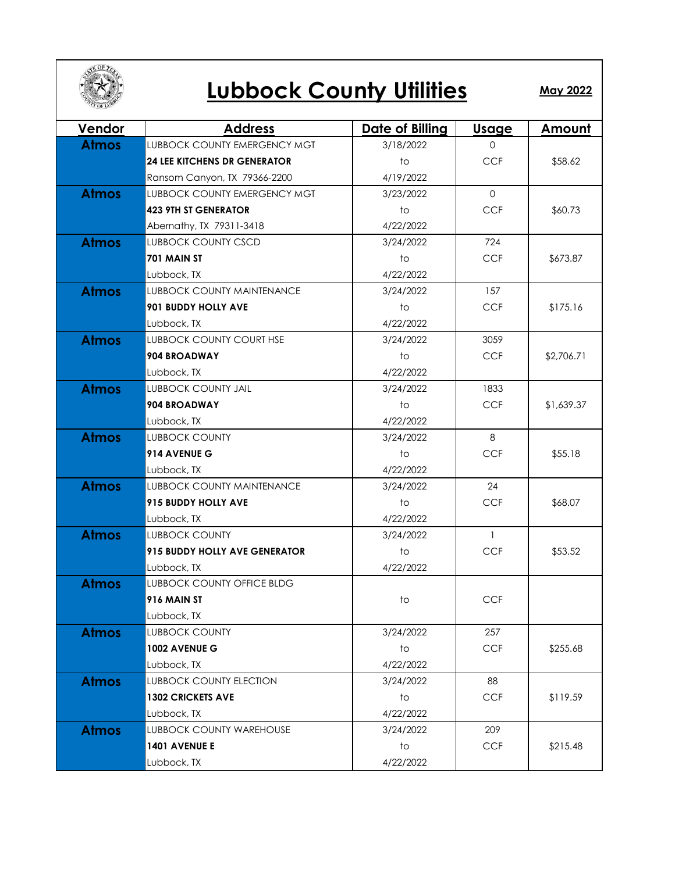

## **Lubbock County Utilities**

**May 2022**

| <b>Vendor</b> | <b>Address</b>                       | Date of Billing | <u>Usage</u>   | <u>Amount</u> |
|---------------|--------------------------------------|-----------------|----------------|---------------|
| <b>Atmos</b>  | <b>LUBBOCK COUNTY EMERGENCY MGT</b>  | 3/18/2022       | $\Omega$       |               |
|               | <b>24 LEE KITCHENS DR GENERATOR</b>  | to              | <b>CCF</b>     | \$58.62       |
|               | Ransom Canyon, TX 79366-2200         | 4/19/2022       |                |               |
| <b>Atmos</b>  | LUBBOCK COUNTY EMERGENCY MGT         | 3/23/2022       | $\Omega$       |               |
|               | <b>423 9TH ST GENERATOR</b>          | to              | <b>CCF</b>     | \$60.73       |
|               | Abernathy, TX 79311-3418             | 4/22/2022       |                |               |
| <b>Atmos</b>  | <b>LUBBOCK COUNTY CSCD</b>           | 3/24/2022       | 724            |               |
|               | 701 MAIN ST                          | to              | <b>CCF</b>     | \$673.87      |
|               | Lubbock, TX                          | 4/22/2022       |                |               |
| <b>Atmos</b>  | <b>LUBBOCK COUNTY MAINTENANCE</b>    | 3/24/2022       | 157            |               |
|               | <b>901 BUDDY HOLLY AVE</b>           | to              | <b>CCF</b>     | \$175.16      |
|               | Lubbock, TX                          | 4/22/2022       |                |               |
| <b>Atmos</b>  | LUBBOCK COUNTY COURT HSE             | 3/24/2022       | 3059           |               |
|               | 904 BROADWAY                         | to              | <b>CCF</b>     | \$2,706.71    |
|               | Lubbock, TX                          | 4/22/2022       |                |               |
| <b>Atmos</b>  | <b>LUBBOCK COUNTY JAIL</b>           | 3/24/2022       | 1833           |               |
|               | 904 BROADWAY                         | to              | <b>CCF</b>     | \$1,639.37    |
|               | Lubbock, TX                          | 4/22/2022       |                |               |
| <b>Atmos</b>  | <b>LUBBOCK COUNTY</b>                | 3/24/2022       | 8              |               |
|               | 914 AVENUE G                         | to              | <b>CCF</b>     | \$55.18       |
|               | Lubbock, TX                          | 4/22/2022       |                |               |
| <b>Atmos</b>  | <b>LUBBOCK COUNTY MAINTENANCE</b>    | 3/24/2022       | 24             |               |
|               | 915 BUDDY HOLLY AVE                  | to              | <b>CCF</b>     | \$68.07       |
|               | Lubbock, TX                          | 4/22/2022       |                |               |
| <b>Atmos</b>  | <b>LUBBOCK COUNTY</b>                | 3/24/2022       | $\overline{1}$ |               |
|               | <b>915 BUDDY HOLLY AVE GENERATOR</b> | to              | <b>CCF</b>     | \$53.52       |
|               | Lubbock, TX                          | 4/22/2022       |                |               |
| <b>Atmos</b>  | LUBBOCK COUNTY OFFICE BLDG           |                 |                |               |
|               | 916 MAIN ST                          | to              | <b>CCF</b>     |               |
|               | Lubbock, TX                          |                 |                |               |
| <b>Atmos</b>  | <b>LUBBOCK COUNTY</b>                | 3/24/2022       | 257            |               |
|               | 1002 AVENUE G                        | to              | <b>CCF</b>     | \$255.68      |
|               | Lubbock, TX                          | 4/22/2022       |                |               |
| <b>Atmos</b>  | <b>LUBBOCK COUNTY ELECTION</b>       | 3/24/2022       | 88             |               |
|               | <b>1302 CRICKETS AVE</b>             | to              | <b>CCF</b>     | \$119.59      |
|               | Lubbock, TX                          | 4/22/2022       |                |               |
| <b>Atmos</b>  | LUBBOCK COUNTY WAREHOUSE             | 3/24/2022       | 209            |               |
|               | 1401 AVENUE E                        | to              | <b>CCF</b>     | \$215.48      |
|               | Lubbock, TX                          | 4/22/2022       |                |               |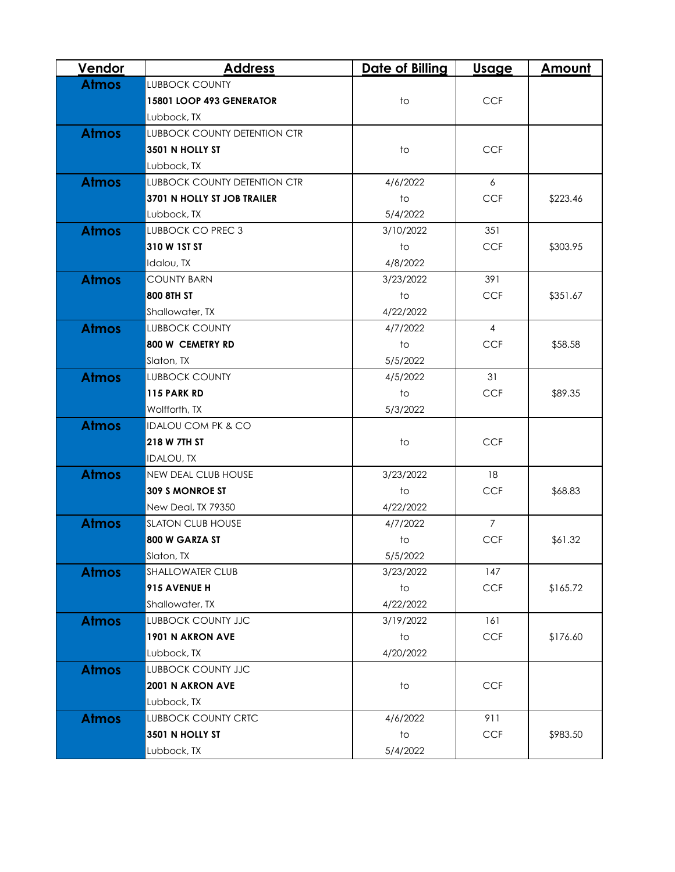| <b>Vendor</b> | <b>Address</b>                      | <b>Date of Billing</b> | <u>Usage</u>   | Amount   |
|---------------|-------------------------------------|------------------------|----------------|----------|
| <b>Atmos</b>  | <b>LUBBOCK COUNTY</b>               |                        |                |          |
|               | 15801 LOOP 493 GENERATOR            | to                     | <b>CCF</b>     |          |
|               | Lubbock, TX                         |                        |                |          |
| <b>Atmos</b>  | <b>LUBBOCK COUNTY DETENTION CTR</b> |                        |                |          |
|               | 3501 N HOLLY ST                     | to                     | <b>CCF</b>     |          |
|               | Lubbock, TX                         |                        |                |          |
| <b>Atmos</b>  | <b>LUBBOCK COUNTY DETENTION CTR</b> | 4/6/2022               | 6              |          |
|               | 3701 N HOLLY ST JOB TRAILER         | $†$                    | <b>CCF</b>     | \$223.46 |
|               | Lubbock, TX                         | 5/4/2022               |                |          |
| <b>Atmos</b>  | <b>LUBBOCK CO PREC 3</b>            | 3/10/2022              | 351            |          |
|               | 310 W 1ST ST                        | to                     | <b>CCF</b>     | \$303.95 |
|               | Idalou, TX                          | 4/8/2022               |                |          |
| <b>Atmos</b>  | <b>COUNTY BARN</b>                  | 3/23/2022              | 391            |          |
|               | 800 8TH ST                          | to                     | <b>CCF</b>     | \$351.67 |
|               | Shallowater, TX                     | 4/22/2022              |                |          |
| <b>Atmos</b>  | <b>LUBBOCK COUNTY</b>               | 4/7/2022               | $\overline{4}$ |          |
|               | 800 W CEMETRY RD                    | $\overline{1}$         | <b>CCF</b>     | \$58.58  |
|               | Slaton, TX                          | 5/5/2022               |                |          |
| <b>Atmos</b>  | <b>LUBBOCK COUNTY</b>               | 4/5/2022               | 31             |          |
|               | 115 PARK RD                         | $\overline{1}$         | <b>CCF</b>     | \$89.35  |
|               | Wolfforth, TX                       | 5/3/2022               |                |          |
| <b>Atmos</b>  | <b>IDALOU COM PK &amp; CO</b>       |                        |                |          |
|               | 218 W 7TH ST                        | to                     | <b>CCF</b>     |          |
|               | <b>IDALOU, TX</b>                   |                        |                |          |
| <b>Atmos</b>  | <b>NEW DEAL CLUB HOUSE</b>          | 3/23/2022              | 18             |          |
|               | <b>309 S MONROE ST</b>              | to                     | <b>CCF</b>     | \$68.83  |
|               | New Deal, TX 79350                  | 4/22/2022              |                |          |
| <b>Atmos</b>  | <b>SLATON CLUB HOUSE</b>            | 4/7/2022               | $\overline{7}$ |          |
|               | 800 W GARZA ST                      | to                     | <b>CCF</b>     | \$61.32  |
|               | Slaton, TX                          | 5/5/2022               |                |          |
| <b>Atmos</b>  | <b>SHALLOWATER CLUB</b>             | 3/23/2022              | 147            |          |
|               | 915 AVENUE H                        | to                     | <b>CCF</b>     | \$165.72 |
|               | Shallowater, TX                     | 4/22/2022              |                |          |
| <b>Atmos</b>  | <b>LUBBOCK COUNTY JJC</b>           | 3/19/2022              | 161            |          |
|               | 1901 N AKRON AVE                    | $\mathsf{to}$          | <b>CCF</b>     | \$176.60 |
|               | Lubbock, TX                         | 4/20/2022              |                |          |
| <b>Atmos</b>  | <b>LUBBOCK COUNTY JJC</b>           |                        |                |          |
|               | <b>2001 N AKRON AVE</b>             | to                     | <b>CCF</b>     |          |
|               | Lubbock, TX                         |                        |                |          |
| <b>Atmos</b>  | <b>LUBBOCK COUNTY CRTC</b>          | 4/6/2022               | 911            |          |
|               | 3501 N HOLLY ST                     | to                     | <b>CCF</b>     | \$983.50 |
|               | Lubbock, TX                         | 5/4/2022               |                |          |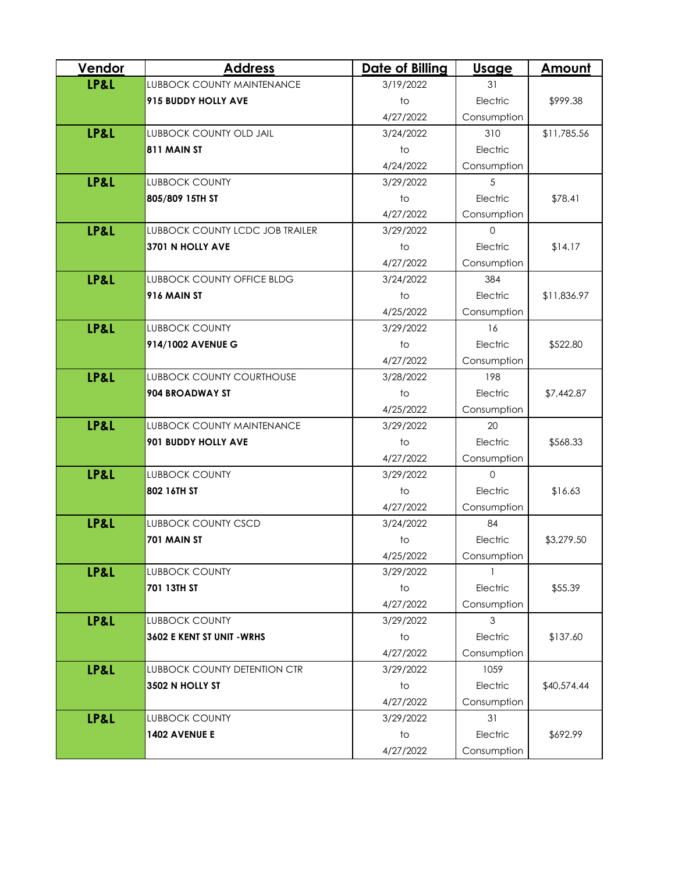| Vendor          | <b>Address</b>                         | <b>Date of Billing</b> | <b>Usage</b> | Amount      |
|-----------------|----------------------------------------|------------------------|--------------|-------------|
| <b>LP&amp;L</b> | <b>LUBBOCK COUNTY MAINTENANCE</b>      | 3/19/2022              | 31           |             |
|                 | 915 BUDDY HOLLY AVE                    | to                     | Electric     | \$999.38    |
|                 |                                        | 4/27/2022              | Consumption  |             |
| LP&L            | <b>LUBBOCK COUNTY OLD JAIL</b>         | 3/24/2022              | 310          | \$11,785.56 |
|                 | 811 MAIN ST                            | to                     | Electric     |             |
|                 |                                        | 4/24/2022              | Consumption  |             |
| LP&L            | <b>LUBBOCK COUNTY</b>                  | 3/29/2022              | 5            |             |
|                 | 805/809 15TH ST                        | $\overline{1}$         | Electric     | \$78.41     |
|                 |                                        | 4/27/2022              | Consumption  |             |
| LP&L            | <b>LUBBOCK COUNTY LCDC JOB TRAILER</b> | 3/29/2022              | $\mathbf{O}$ |             |
|                 | 3701 N HOLLY AVE                       | to                     | Electric     | \$14.17     |
|                 |                                        | 4/27/2022              | Consumption  |             |
| LP&L            | <b>LUBBOCK COUNTY OFFICE BLDG</b>      | 3/24/2022              | 384          |             |
|                 | 916 MAIN ST                            | to                     | Electric     | \$11,836.97 |
|                 |                                        | 4/25/2022              | Consumption  |             |
| LP&L            | <b>LUBBOCK COUNTY</b>                  | 3/29/2022              | 16           |             |
|                 | 914/1002 AVENUE G                      | to                     | Electric     | \$522.80    |
|                 |                                        | 4/27/2022              | Consumption  |             |
| LP&L            | <b>LUBBOCK COUNTY COURTHOUSE</b>       | 3/28/2022              | 198          |             |
|                 | 904 BROADWAY ST                        | $\overline{1}$         | Electric     | \$7,442.87  |
|                 |                                        | 4/25/2022              | Consumption  |             |
| <b>LP&amp;L</b> | <b>LUBBOCK COUNTY MAINTENANCE</b>      | 3/29/2022              | 20           |             |
|                 | 901 BUDDY HOLLY AVE                    | $\overline{1}$         | Electric     | \$568.33    |
|                 |                                        | 4/27/2022              | Consumption  |             |
| LP&L            | <b>LUBBOCK COUNTY</b>                  | 3/29/2022              | $\Omega$     |             |
|                 | 802 16TH ST                            | to                     | Electric     | \$16.63     |
|                 |                                        | 4/27/2022              | Consumption  |             |
| LP&L            | <b>LUBBOCK COUNTY CSCD</b>             | 3/24/2022              | 84           |             |
|                 | 701 MAIN ST                            | to                     | Electric     | \$3,279.50  |
|                 |                                        | 4/25/2022              | Consumption  |             |
| LP&L            | <b>LUBBOCK COUNTY</b>                  | 3/29/2022              |              |             |
|                 | 701 13TH ST                            | $10$                   | Electric     | \$55.39     |
|                 |                                        | 4/27/2022              | Consumption  |             |
| LP&L            | <b>LUBBOCK COUNTY</b>                  | 3/29/2022              | 3            |             |
|                 | 3602 E KENT ST UNIT - WRHS             | to                     | Electric     | \$137.60    |
|                 |                                        | 4/27/2022              | Consumption  |             |
| LP&L            | <b>LUBBOCK COUNTY DETENTION CTR</b>    | 3/29/2022              | 1059         |             |
|                 | 3502 N HOLLY ST                        | to                     | Electric     | \$40,574.44 |
|                 |                                        | 4/27/2022              | Consumption  |             |
| LP&L            | <b>LUBBOCK COUNTY</b>                  | 3/29/2022              | 31           |             |
|                 | 1402 AVENUE E                          | to                     | Electric     | \$692.99    |
|                 |                                        | 4/27/2022              | Consumption  |             |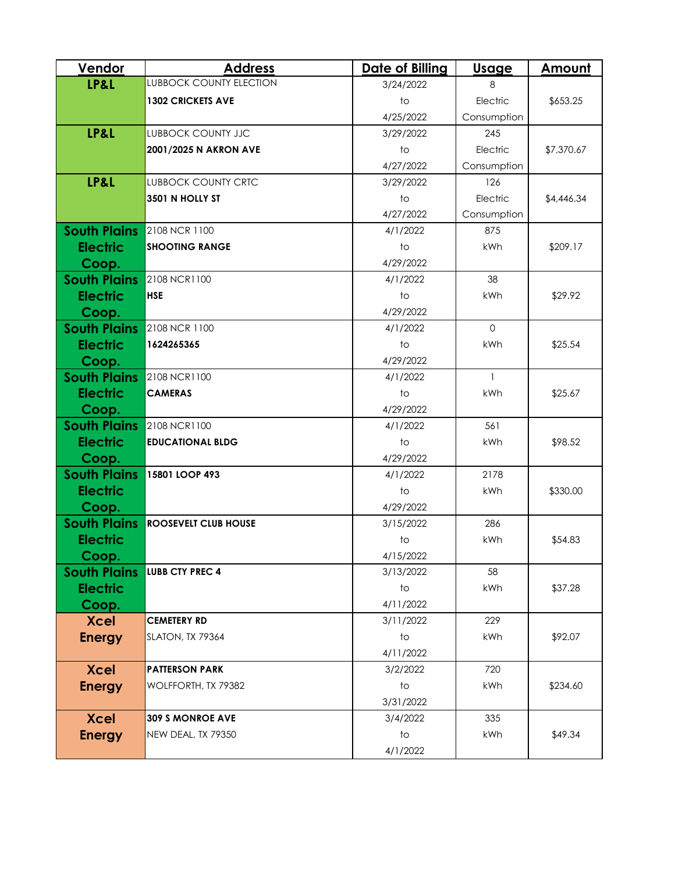| Vendor              | <b>Address</b>                 | <b>Date of Billing</b> | Usage        | Amount     |
|---------------------|--------------------------------|------------------------|--------------|------------|
| LP&L                | <b>LUBBOCK COUNTY ELECTION</b> | 3/24/2022              | 8            |            |
|                     | <b>1302 CRICKETS AVE</b>       | $\overline{1}$         | Electric     | \$653.25   |
|                     |                                | 4/25/2022              | Consumption  |            |
| LP&L                | <b>LUBBOCK COUNTY JJC</b>      | 3/29/2022              | 245          |            |
|                     | 2001/2025 N AKRON AVE          | to                     | Electric     | \$7,370.67 |
|                     |                                | 4/27/2022              | Consumption  |            |
| LP&L                | <b>LUBBOCK COUNTY CRTC</b>     | 3/29/2022              | 126          |            |
|                     | 3501 N HOLLY ST                | $\overline{1}$         | Electric     | \$4,446.34 |
|                     |                                | 4/27/2022              | Consumption  |            |
| <b>South Plains</b> | 2108 NCR 1100                  | 4/1/2022               | 875          |            |
| <b>Electric</b>     | <b>SHOOTING RANGE</b>          | to                     | kWh          | \$209.17   |
| Coop.               |                                | 4/29/2022              |              |            |
| <b>South Plains</b> | 2108 NCR1100                   | 4/1/2022               | 38           |            |
| <b>Electric</b>     | <b>HSE</b>                     | to                     | kWh          | \$29.92    |
| Coop.               |                                | 4/29/2022              |              |            |
| <b>South Plains</b> | 2108 NCR 1100                  | 4/1/2022               | $\Omega$     |            |
| <b>Electric</b>     | 1624265365                     | $\overline{1}$         | kWh          | \$25.54    |
| Coop.               |                                | 4/29/2022              |              |            |
| <b>South Plains</b> | 2108 NCR1100                   | 4/1/2022               | $\mathbf{1}$ |            |
| <b>Electric</b>     | <b>CAMERAS</b>                 | to                     | kWh          | \$25.67    |
| Coop.               |                                | 4/29/2022              |              |            |
| <b>South Plains</b> | 2108 NCR1100                   | 4/1/2022               | 561          |            |
| <b>Electric</b>     | <b>EDUCATIONAL BLDG</b>        | $\overline{1}$         | kWh          | \$98.52    |
| Coop.               |                                | 4/29/2022              |              |            |
| <b>South Plains</b> | 15801 LOOP 493                 | 4/1/2022               | 2178         |            |
| <b>Electric</b>     |                                | to                     | kWh          | \$330.00   |
| Coop.               |                                | 4/29/2022              |              |            |
| <b>South Plains</b> | <b>ROOSEVELT CLUB HOUSE</b>    | 3/15/2022              | 286          |            |
| <b>Electric</b>     |                                | to                     | kWh          | \$54.83    |
| Coop.               |                                | 4/15/2022              |              |            |
| <b>South Plains</b> | <b>LUBB CTY PREC 4</b>         | 3/13/2022              | 58           |            |
| <b>Electric</b>     |                                | $\overline{1}$         | kWh          | \$37.28    |
| Coop.               |                                | 4/11/2022              |              |            |
| <b>Xcel</b>         | <b>CEMETERY RD</b>             | 3/11/2022              | 229          |            |
| <b>Energy</b>       | SLATON, TX 79364               | to                     | kWh          | \$92.07    |
|                     |                                | 4/11/2022              |              |            |
| <b>Xcel</b>         | <b>PATTERSON PARK</b>          | 3/2/2022               | 720          |            |
| <b>Energy</b>       | WOLFFORTH, TX 79382            | to                     | kWh          | \$234.60   |
|                     |                                | 3/31/2022              |              |            |
| <b>Xcel</b>         | <b>309 S MONROE AVE</b>        | 3/4/2022               | 335          |            |
| <b>Energy</b>       | NEW DEAL, TX 79350             | to                     | kWh          | \$49.34    |
|                     |                                | 4/1/2022               |              |            |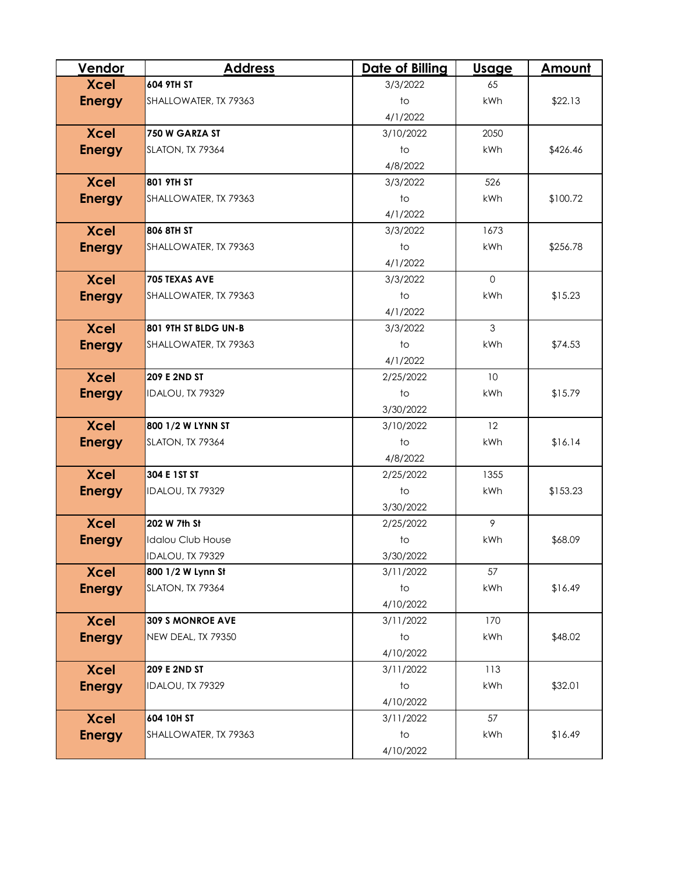| Vendor        | <b>Address</b>           | <b>Date of Billing</b> | <b>Usage</b> | Amount   |
|---------------|--------------------------|------------------------|--------------|----------|
| <b>Xcel</b>   | 604 9TH ST               | 3/3/2022               | 65           |          |
| <b>Energy</b> | SHALLOWATER, TX 79363    | $†$                    | kWh          | \$22.13  |
|               |                          | 4/1/2022               |              |          |
| <b>Xcel</b>   | 750 W GARZA ST           | 3/10/2022              | 2050         |          |
| <b>Energy</b> | SLATON, TX 79364         | to                     | kWh          | \$426.46 |
|               |                          | 4/8/2022               |              |          |
| <b>Xcel</b>   | 801 9TH ST               | 3/3/2022               | 526          |          |
| <b>Energy</b> | SHALLOWATER, TX 79363    | $\overline{1}$         | kWh          | \$100.72 |
|               |                          | 4/1/2022               |              |          |
| <b>Xcel</b>   | 806 8TH ST               | 3/3/2022               | 1673         |          |
| <b>Energy</b> | SHALLOWATER, TX 79363    | $\overline{1}$         | kWh          | \$256.78 |
|               |                          | 4/1/2022               |              |          |
| <b>Xcel</b>   | 705 TEXAS AVE            | 3/3/2022               | $\Omega$     |          |
| <b>Energy</b> | SHALLOWATER, TX 79363    | to                     | kWh          | \$15.23  |
|               |                          | 4/1/2022               |              |          |
| <b>Xcel</b>   | 801 9TH ST BLDG UN-B     | 3/3/2022               | 3            |          |
| <b>Energy</b> | SHALLOWATER, TX 79363    | $\overline{1}$         | kWh          | \$74.53  |
|               |                          | 4/1/2022               |              |          |
| <b>Xcel</b>   | <b>209 E 2ND ST</b>      | 2/25/2022              | 10           |          |
| <b>Energy</b> | IDALOU, TX 79329         | $\overline{1}$         | kWh          | \$15.79  |
|               |                          | 3/30/2022              |              |          |
| <b>Xcel</b>   | 800 1/2 W LYNN ST        | 3/10/2022              | 12           |          |
| <b>Energy</b> | SLATON, TX 79364         | $\overline{1}$         | kWh          | \$16.14  |
|               |                          | 4/8/2022               |              |          |
| <b>Xcel</b>   | 304 E 1ST ST             | 2/25/2022              | 1355         |          |
| <b>Energy</b> | IDALOU, TX 79329         | $\overline{1}$         | kWh          | \$153.23 |
|               |                          | 3/30/2022              |              |          |
| <b>Xcel</b>   | 202 W 7th St             | 2/25/2022              | 9            |          |
| <b>Energy</b> | <b>Idalou Club House</b> | to                     | kWh          | \$68.09  |
|               | IDALOU, TX 79329         | 3/30/2022              |              |          |
| <b>Xcel</b>   | 800 1/2 W Lynn St        | 3/11/2022              | 57           |          |
| <b>Energy</b> | SLATON, TX 79364         | $10$                   | kWh          | \$16.49  |
|               |                          | 4/10/2022              |              |          |
| <b>Xcel</b>   | 309 S MONROE AVE         | 3/11/2022              | 170          |          |
| <b>Energy</b> | NEW DEAL, TX 79350       | $†$                    | kWh          | \$48.02  |
|               |                          | 4/10/2022              |              |          |
| <b>Xcel</b>   | <b>209 E 2ND ST</b>      | 3/11/2022              | 113          |          |
| <b>Energy</b> | IDALOU, TX 79329         | to                     | kWh          | \$32.01  |
|               |                          | 4/10/2022              |              |          |
| <b>Xcel</b>   | 604 10H ST               | 3/11/2022              | 57           |          |
| <b>Energy</b> | SHALLOWATER, TX 79363    | to                     | kWh          | \$16.49  |
|               |                          | 4/10/2022              |              |          |